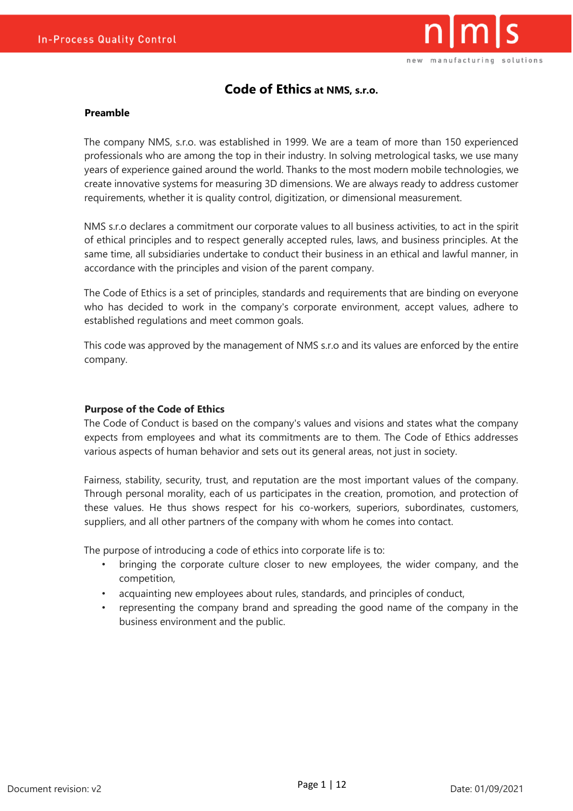

# **Code of Ethics at NMS, s.r.o.**

### **Preamble**

The company NMS, s.r.o. was established in 1999. We are a team of more than 150 experienced professionals who are among the top in their industry. In solving metrological tasks, we use many years of experience gained around the world. Thanks to the most modern mobile technologies, we create innovative systems for measuring 3D dimensions. We are always ready to address customer requirements, whether it is quality control, digitization, or dimensional measurement.

NMS s.r.o declares a commitment our corporate values to all business activities, to act in the spirit of ethical principles and to respect generally accepted rules, laws, and business principles. At the same time, all subsidiaries undertake to conduct their business in an ethical and lawful manner, in accordance with the principles and vision of the parent company.

The Code of Ethics is a set of principles, standards and requirements that are binding on everyone who has decided to work in the company's corporate environment, accept values, adhere to established regulations and meet common goals.

This code was approved by the management of NMS s.r.o and its values are enforced by the entire company.

#### **Purpose of the Code of Ethics**

The Code of Conduct is based on the company's values and visions and states what the company expects from employees and what its commitments are to them. The Code of Ethics addresses various aspects of human behavior and sets out its general areas, not just in society.

Fairness, stability, security, trust, and reputation are the most important values of the company. Through personal morality, each of us participates in the creation, promotion, and protection of these values. He thus shows respect for his co-workers, superiors, subordinates, customers, suppliers, and all other partners of the company with whom he comes into contact.

The purpose of introducing a code of ethics into corporate life is to:

- bringing the corporate culture closer to new employees, the wider company, and the competition,
- acquainting new employees about rules, standards, and principles of conduct,
- representing the company brand and spreading the good name of the company in the business environment and the public.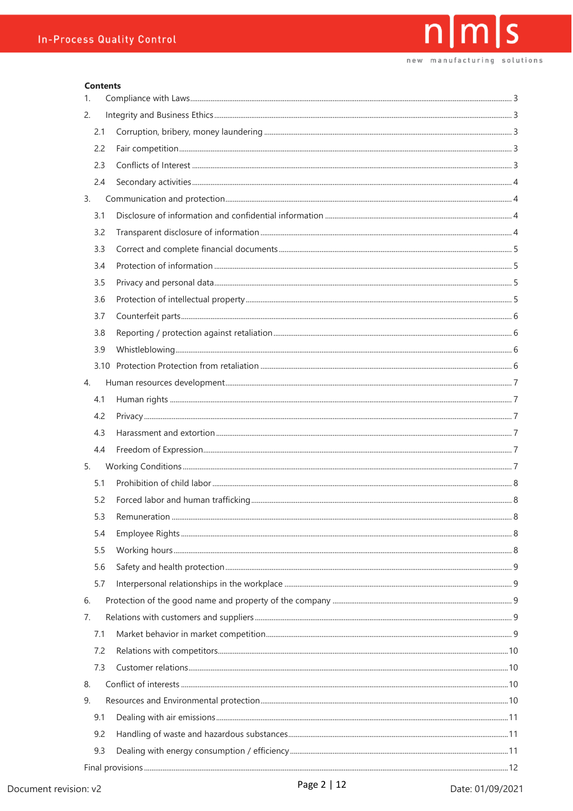#### **Contents**

| $\mathbf{1}$ . |  |
|----------------|--|
| 2.             |  |
| 2.1            |  |
| 2.2            |  |
| 2.3            |  |
| 2.4            |  |
| 3.             |  |
| 3.1            |  |
| 3.2            |  |
| 3.3            |  |
| 3.4            |  |
| 3.5            |  |
| 3.6            |  |
| 3.7            |  |
| 3.8            |  |
| 3.9            |  |
|                |  |
| 4.             |  |
| 4.1            |  |
| 4.2            |  |
| 4.3            |  |
| 4.4            |  |
| 5.             |  |
| 5.1            |  |
| 5.2            |  |
| 5.3            |  |
| 5.4            |  |
| 5.5            |  |
| 5.6            |  |
| 5.7            |  |
| 6.             |  |
| 7.             |  |
| 7.1            |  |
| 7.2            |  |
| 7.3            |  |
| 8.             |  |
| 9.             |  |
| 9.1            |  |
| 9.2            |  |
| 9.3            |  |
|                |  |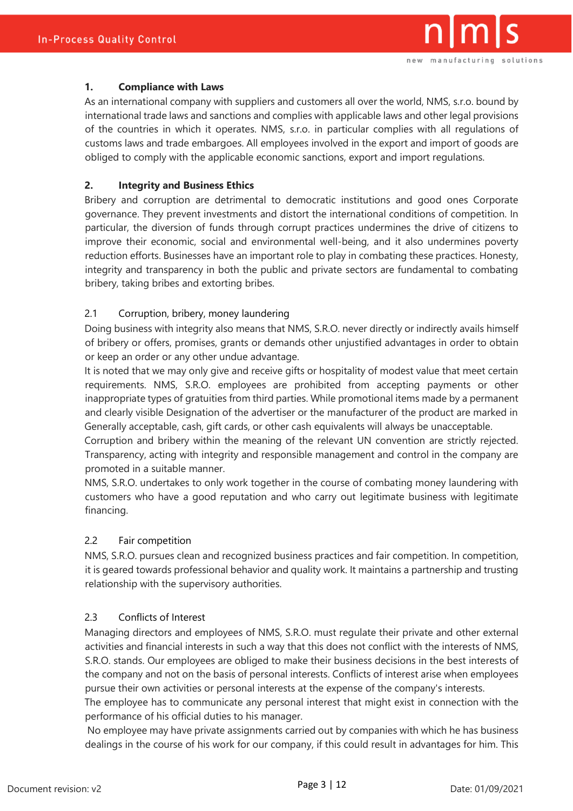

### <span id="page-2-0"></span>**1. Compliance with Laws**

As an international company with suppliers and customers all over the world, NMS, s.r.o. bound by international trade laws and sanctions and complies with applicable laws and other legal provisions of the countries in which it operates. NMS, s.r.o. in particular complies with all regulations of customs laws and trade embargoes. All employees involved in the export and import of goods are obliged to comply with the applicable economic sanctions, export and import regulations.

# <span id="page-2-1"></span>**2. Integrity and Business Ethics**

Bribery and corruption are detrimental to democratic institutions and good ones Corporate governance. They prevent investments and distort the international conditions of competition. In particular, the diversion of funds through corrupt practices undermines the drive of citizens to improve their economic, social and environmental well-being, and it also undermines poverty reduction efforts. Businesses have an important role to play in combating these practices. Honesty, integrity and transparency in both the public and private sectors are fundamental to combating bribery, taking bribes and extorting bribes.

# <span id="page-2-2"></span>2.1 Corruption, bribery, money laundering

Doing business with integrity also means that NMS, S.R.O. never directly or indirectly avails himself of bribery or offers, promises, grants or demands other unjustified advantages in order to obtain or keep an order or any other undue advantage.

It is noted that we may only give and receive gifts or hospitality of modest value that meet certain requirements. NMS, S.R.O. employees are prohibited from accepting payments or other inappropriate types of gratuities from third parties. While promotional items made by a permanent and clearly visible Designation of the advertiser or the manufacturer of the product are marked in Generally acceptable, cash, gift cards, or other cash equivalents will always be unacceptable.

Corruption and bribery within the meaning of the relevant UN convention are strictly rejected. Transparency, acting with integrity and responsible management and control in the company are promoted in a suitable manner.

NMS, S.R.O. undertakes to only work together in the course of combating money laundering with customers who have a good reputation and who carry out legitimate business with legitimate financing.

# <span id="page-2-3"></span>2.2 Fair competition

NMS, S.R.O. pursues clean and recognized business practices and fair competition. In competition, it is geared towards professional behavior and quality work. It maintains a partnership and trusting relationship with the supervisory authorities.

# <span id="page-2-4"></span>2.3 Conflicts of Interest

Managing directors and employees of NMS, S.R.O. must regulate their private and other external activities and financial interests in such a way that this does not conflict with the interests of NMS, S.R.O. stands. Our employees are obliged to make their business decisions in the best interests of the company and not on the basis of personal interests. Conflicts of interest arise when employees pursue their own activities or personal interests at the expense of the company's interests.

The employee has to communicate any personal interest that might exist in connection with the performance of his official duties to his manager.

No employee may have private assignments carried out by companies with which he has business dealings in the course of his work for our company, if this could result in advantages for him. This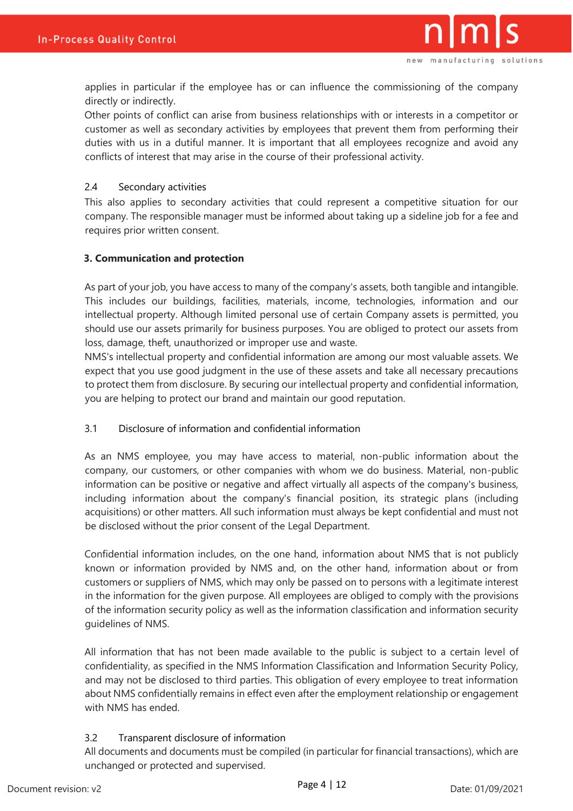

applies in particular if the employee has or can influence the commissioning of the company directly or indirectly.

Other points of conflict can arise from business relationships with or interests in a competitor or customer as well as secondary activities by employees that prevent them from performing their duties with us in a dutiful manner. It is important that all employees recognize and avoid any conflicts of interest that may arise in the course of their professional activity.

### <span id="page-3-0"></span>2.4 Secondary activities

This also applies to secondary activities that could represent a competitive situation for our company. The responsible manager must be informed about taking up a sideline job for a fee and requires prior written consent.

### <span id="page-3-1"></span>**3. Communication and protection**

As part of your job, you have access to many of the company's assets, both tangible and intangible. This includes our buildings, facilities, materials, income, technologies, information and our intellectual property. Although limited personal use of certain Company assets is permitted, you should use our assets primarily for business purposes. You are obliged to protect our assets from loss, damage, theft, unauthorized or improper use and waste.

NMS's intellectual property and confidential information are among our most valuable assets. We expect that you use good judgment in the use of these assets and take all necessary precautions to protect them from disclosure. By securing our intellectual property and confidential information, you are helping to protect our brand and maintain our good reputation.

# <span id="page-3-2"></span>3.1 Disclosure of information and confidential information

As an NMS employee, you may have access to material, non-public information about the company, our customers, or other companies with whom we do business. Material, non-public information can be positive or negative and affect virtually all aspects of the company's business, including information about the company's financial position, its strategic plans (including acquisitions) or other matters. All such information must always be kept confidential and must not be disclosed without the prior consent of the Legal Department.

Confidential information includes, on the one hand, information about NMS that is not publicly known or information provided by NMS and, on the other hand, information about or from customers or suppliers of NMS, which may only be passed on to persons with a legitimate interest in the information for the given purpose. All employees are obliged to comply with the provisions of the information security policy as well as the information classification and information security guidelines of NMS.

All information that has not been made available to the public is subject to a certain level of confidentiality, as specified in the NMS Information Classification and Information Security Policy, and may not be disclosed to third parties. This obligation of every employee to treat information about NMS confidentially remains in effect even after the employment relationship or engagement with NMS has ended.

# <span id="page-3-3"></span>3.2 Transparent disclosure of information

All documents and documents must be compiled (in particular for financial transactions), which are unchanged or protected and supervised.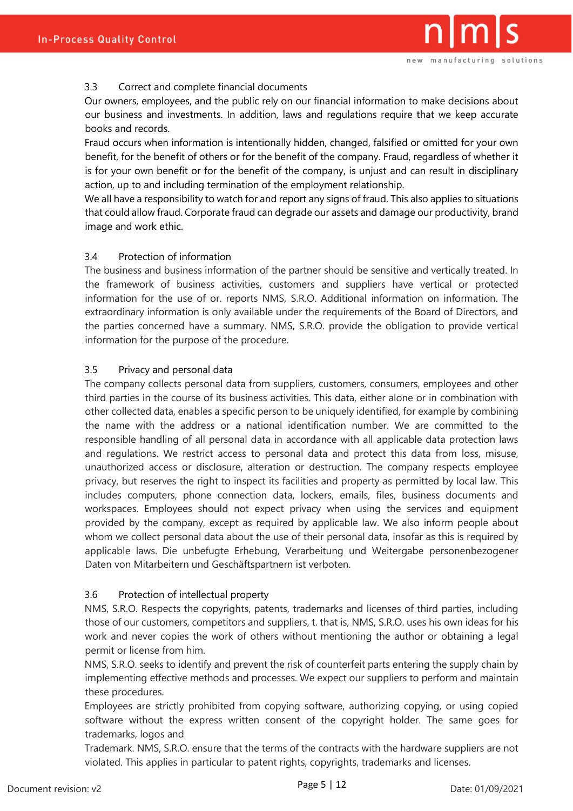# <span id="page-4-0"></span>3.3 Correct and complete financial documents

Our owners, employees, and the public rely on our financial information to make decisions about our business and investments. In addition, laws and regulations require that we keep accurate books and records.

Fraud occurs when information is intentionally hidden, changed, falsified or omitted for your own benefit, for the benefit of others or for the benefit of the company. Fraud, regardless of whether it is for your own benefit or for the benefit of the company, is unjust and can result in disciplinary action, up to and including termination of the employment relationship.

We all have a responsibility to watch for and report any signs of fraud. This also applies to situations that could allow fraud. Corporate fraud can degrade our assets and damage our productivity, brand image and work ethic.

# <span id="page-4-1"></span>3.4 Protection of information

The business and business information of the partner should be sensitive and vertically treated. In the framework of business activities, customers and suppliers have vertical or protected information for the use of or. reports NMS, S.R.O. Additional information on information. The extraordinary information is only available under the requirements of the Board of Directors, and the parties concerned have a summary. NMS, S.R.O. provide the obligation to provide vertical information for the purpose of the procedure.

# <span id="page-4-2"></span>3.5 Privacy and personal data

The company collects personal data from suppliers, customers, consumers, employees and other third parties in the course of its business activities. This data, either alone or in combination with other collected data, enables a specific person to be uniquely identified, for example by combining the name with the address or a national identification number. We are committed to the responsible handling of all personal data in accordance with all applicable data protection laws and regulations. We restrict access to personal data and protect this data from loss, misuse, unauthorized access or disclosure, alteration or destruction. The company respects employee privacy, but reserves the right to inspect its facilities and property as permitted by local law. This includes computers, phone connection data, lockers, emails, files, business documents and workspaces. Employees should not expect privacy when using the services and equipment provided by the company, except as required by applicable law. We also inform people about whom we collect personal data about the use of their personal data, insofar as this is required by applicable laws. Die unbefugte Erhebung, Verarbeitung und Weitergabe personenbezogener Daten von Mitarbeitern und Geschäftspartnern ist verboten.

# <span id="page-4-3"></span>3.6 Protection of intellectual property

NMS, S.R.O. Respects the copyrights, patents, trademarks and licenses of third parties, including those of our customers, competitors and suppliers, t. that is, NMS, S.R.O. uses his own ideas for his work and never copies the work of others without mentioning the author or obtaining a legal permit or license from him.

NMS, S.R.O. seeks to identify and prevent the risk of counterfeit parts entering the supply chain by implementing effective methods and processes. We expect our suppliers to perform and maintain these procedures.

Employees are strictly prohibited from copying software, authorizing copying, or using copied software without the express written consent of the copyright holder. The same goes for trademarks, logos and

Trademark. NMS, S.R.O. ensure that the terms of the contracts with the hardware suppliers are not violated. This applies in particular to patent rights, copyrights, trademarks and licenses.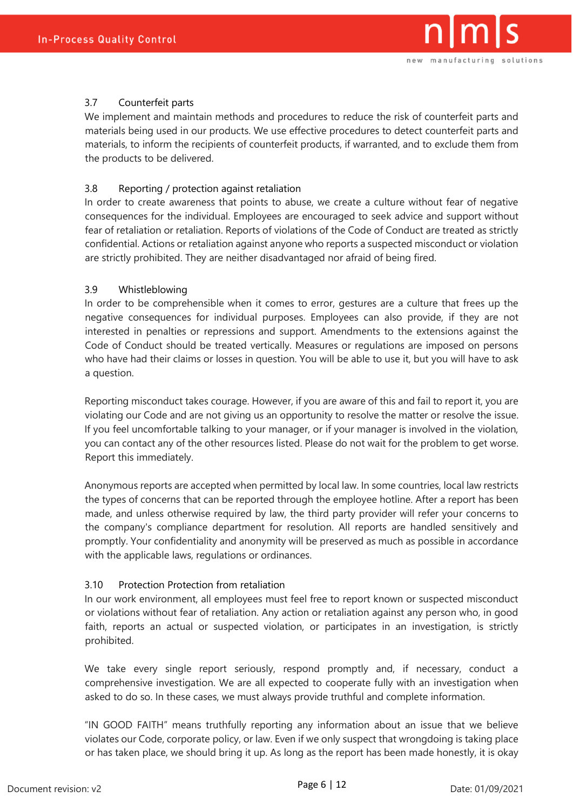

# <span id="page-5-0"></span>3.7 Counterfeit parts

We implement and maintain methods and procedures to reduce the risk of counterfeit parts and materials being used in our products. We use effective procedures to detect counterfeit parts and materials, to inform the recipients of counterfeit products, if warranted, and to exclude them from the products to be delivered.

### <span id="page-5-1"></span>3.8 Reporting / protection against retaliation

In order to create awareness that points to abuse, we create a culture without fear of negative consequences for the individual. Employees are encouraged to seek advice and support without fear of retaliation or retaliation. Reports of violations of the Code of Conduct are treated as strictly confidential. Actions or retaliation against anyone who reports a suspected misconduct or violation are strictly prohibited. They are neither disadvantaged nor afraid of being fired.

### <span id="page-5-2"></span>3.9 Whistleblowing

In order to be comprehensible when it comes to error, gestures are a culture that frees up the negative consequences for individual purposes. Employees can also provide, if they are not interested in penalties or repressions and support. Amendments to the extensions against the Code of Conduct should be treated vertically. Measures or regulations are imposed on persons who have had their claims or losses in question. You will be able to use it, but you will have to ask a question.

Reporting misconduct takes courage. However, if you are aware of this and fail to report it, you are violating our Code and are not giving us an opportunity to resolve the matter or resolve the issue. If you feel uncomfortable talking to your manager, or if your manager is involved in the violation, you can contact any of the other resources listed. Please do not wait for the problem to get worse. Report this immediately.

Anonymous reports are accepted when permitted by local law. In some countries, local law restricts the types of concerns that can be reported through the employee hotline. After a report has been made, and unless otherwise required by law, the third party provider will refer your concerns to the company's compliance department for resolution. All reports are handled sensitively and promptly. Your confidentiality and anonymity will be preserved as much as possible in accordance with the applicable laws, regulations or ordinances.

#### <span id="page-5-3"></span>3.10 Protection Protection from retaliation

In our work environment, all employees must feel free to report known or suspected misconduct or violations without fear of retaliation. Any action or retaliation against any person who, in good faith, reports an actual or suspected violation, or participates in an investigation, is strictly prohibited.

We take every single report seriously, respond promptly and, if necessary, conduct a comprehensive investigation. We are all expected to cooperate fully with an investigation when asked to do so. In these cases, we must always provide truthful and complete information.

"IN GOOD FAITH" means truthfully reporting any information about an issue that we believe violates our Code, corporate policy, or law. Even if we only suspect that wrongdoing is taking place or has taken place, we should bring it up. As long as the report has been made honestly, it is okay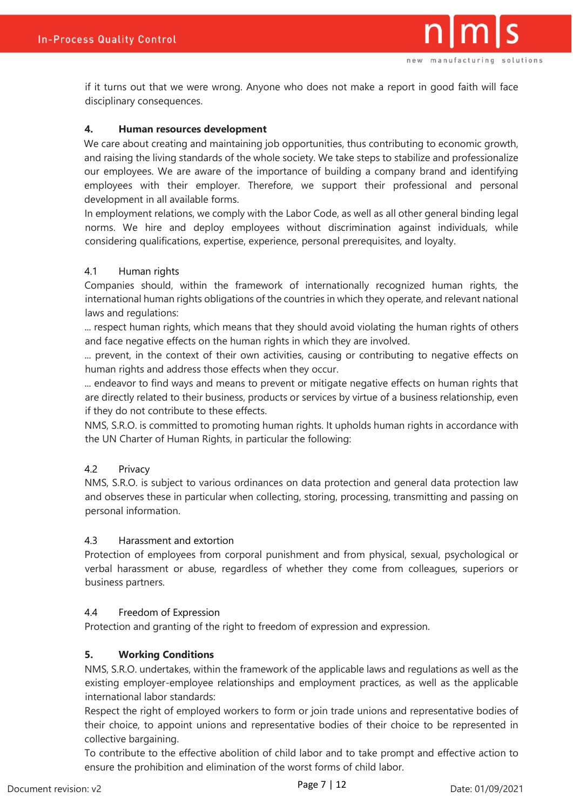

if it turns out that we were wrong. Anyone who does not make a report in good faith will face disciplinary consequences.

### <span id="page-6-0"></span>**4. Human resources development**

We care about creating and maintaining job opportunities, thus contributing to economic growth, and raising the living standards of the whole society. We take steps to stabilize and professionalize our employees. We are aware of the importance of building a company brand and identifying employees with their employer. Therefore, we support their professional and personal development in all available forms.

In employment relations, we comply with the Labor Code, as well as all other general binding legal norms. We hire and deploy employees without discrimination against individuals, while considering qualifications, expertise, experience, personal prerequisites, and loyalty.

### <span id="page-6-1"></span>4.1 Human rights

Companies should, within the framework of internationally recognized human rights, the international human rights obligations of the countries in which they operate, and relevant national laws and regulations:

... respect human rights, which means that they should avoid violating the human rights of others and face negative effects on the human rights in which they are involved.

... prevent, in the context of their own activities, causing or contributing to negative effects on human rights and address those effects when they occur.

... endeavor to find ways and means to prevent or mitigate negative effects on human rights that are directly related to their business, products or services by virtue of a business relationship, even if they do not contribute to these effects.

NMS, S.R.O. is committed to promoting human rights. It upholds human rights in accordance with the UN Charter of Human Rights, in particular the following:

#### <span id="page-6-2"></span>4.2 Privacy

NMS, S.R.O. is subject to various ordinances on data protection and general data protection law and observes these in particular when collecting, storing, processing, transmitting and passing on personal information.

#### <span id="page-6-3"></span>4.3 Harassment and extortion

Protection of employees from corporal punishment and from physical, sexual, psychological or verbal harassment or abuse, regardless of whether they come from colleagues, superiors or business partners.

#### <span id="page-6-4"></span>4.4 Freedom of Expression

Protection and granting of the right to freedom of expression and expression.

# <span id="page-6-5"></span>**5. Working Conditions**

NMS, S.R.O. undertakes, within the framework of the applicable laws and regulations as well as the existing employer-employee relationships and employment practices, as well as the applicable international labor standards:

Respect the right of employed workers to form or join trade unions and representative bodies of their choice, to appoint unions and representative bodies of their choice to be represented in collective bargaining.

To contribute to the effective abolition of child labor and to take prompt and effective action to ensure the prohibition and elimination of the worst forms of child labor.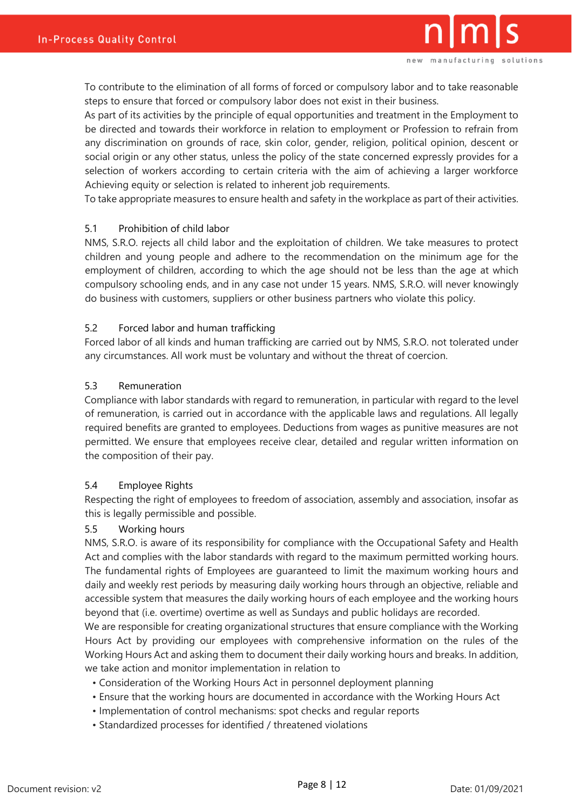To contribute to the elimination of all forms of forced or compulsory labor and to take reasonable steps to ensure that forced or compulsory labor does not exist in their business.

As part of its activities by the principle of equal opportunities and treatment in the Employment to be directed and towards their workforce in relation to employment or Profession to refrain from any discrimination on grounds of race, skin color, gender, religion, political opinion, descent or social origin or any other status, unless the policy of the state concerned expressly provides for a selection of workers according to certain criteria with the aim of achieving a larger workforce Achieving equity or selection is related to inherent job requirements.

To take appropriate measures to ensure health and safety in the workplace as part of their activities.

### <span id="page-7-0"></span>5.1 Prohibition of child labor

NMS, S.R.O. rejects all child labor and the exploitation of children. We take measures to protect children and young people and adhere to the recommendation on the minimum age for the employment of children, according to which the age should not be less than the age at which compulsory schooling ends, and in any case not under 15 years. NMS, S.R.O. will never knowingly do business with customers, suppliers or other business partners who violate this policy.

#### <span id="page-7-1"></span>5.2 Forced labor and human trafficking

Forced labor of all kinds and human trafficking are carried out by NMS, S.R.O. not tolerated under any circumstances. All work must be voluntary and without the threat of coercion.

### <span id="page-7-2"></span>5.3 Remuneration

Compliance with labor standards with regard to remuneration, in particular with regard to the level of remuneration, is carried out in accordance with the applicable laws and regulations. All legally required benefits are granted to employees. Deductions from wages as punitive measures are not permitted. We ensure that employees receive clear, detailed and regular written information on the composition of their pay.

#### <span id="page-7-3"></span>5.4 Employee Rights

Respecting the right of employees to freedom of association, assembly and association, insofar as this is legally permissible and possible.

#### <span id="page-7-4"></span>5.5 Working hours

NMS, S.R.O. is aware of its responsibility for compliance with the Occupational Safety and Health Act and complies with the labor standards with regard to the maximum permitted working hours. The fundamental rights of Employees are guaranteed to limit the maximum working hours and daily and weekly rest periods by measuring daily working hours through an objective, reliable and accessible system that measures the daily working hours of each employee and the working hours beyond that (i.e. overtime) overtime as well as Sundays and public holidays are recorded.

We are responsible for creating organizational structures that ensure compliance with the Working Hours Act by providing our employees with comprehensive information on the rules of the Working Hours Act and asking them to document their daily working hours and breaks. In addition, we take action and monitor implementation in relation to

- Consideration of the Working Hours Act in personnel deployment planning
- Ensure that the working hours are documented in accordance with the Working Hours Act
- Implementation of control mechanisms: spot checks and regular reports
- Standardized processes for identified / threatened violations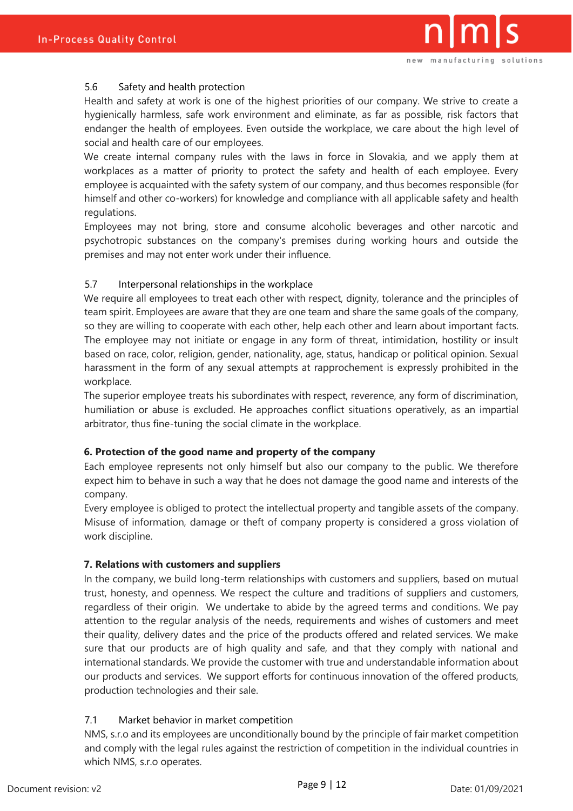# <span id="page-8-0"></span>5.6 Safety and health protection

Health and safety at work is one of the highest priorities of our company. We strive to create a hygienically harmless, safe work environment and eliminate, as far as possible, risk factors that endanger the health of employees. Even outside the workplace, we care about the high level of social and health care of our employees.

We create internal company rules with the laws in force in Slovakia, and we apply them at workplaces as a matter of priority to protect the safety and health of each employee. Every employee is acquainted with the safety system of our company, and thus becomes responsible (for himself and other co-workers) for knowledge and compliance with all applicable safety and health regulations.

Employees may not bring, store and consume alcoholic beverages and other narcotic and psychotropic substances on the company's premises during working hours and outside the premises and may not enter work under their influence.

### <span id="page-8-1"></span>5.7 Interpersonal relationships in the workplace

We require all employees to treat each other with respect, dignity, tolerance and the principles of team spirit. Employees are aware that they are one team and share the same goals of the company, so they are willing to cooperate with each other, help each other and learn about important facts. The employee may not initiate or engage in any form of threat, intimidation, hostility or insult based on race, color, religion, gender, nationality, age, status, handicap or political opinion. Sexual harassment in the form of any sexual attempts at rapprochement is expressly prohibited in the workplace.

The superior employee treats his subordinates with respect, reverence, any form of discrimination, humiliation or abuse is excluded. He approaches conflict situations operatively, as an impartial arbitrator, thus fine-tuning the social climate in the workplace.

#### <span id="page-8-2"></span>**6. Protection of the good name and property of the company**

Each employee represents not only himself but also our company to the public. We therefore expect him to behave in such a way that he does not damage the good name and interests of the company.

Every employee is obliged to protect the intellectual property and tangible assets of the company. Misuse of information, damage or theft of company property is considered a gross violation of work discipline.

# <span id="page-8-3"></span>**7. Relations with customers and suppliers**

In the company, we build long-term relationships with customers and suppliers, based on mutual trust, honesty, and openness. We respect the culture and traditions of suppliers and customers, regardless of their origin. We undertake to abide by the agreed terms and conditions. We pay attention to the regular analysis of the needs, requirements and wishes of customers and meet their quality, delivery dates and the price of the products offered and related services. We make sure that our products are of high quality and safe, and that they comply with national and international standards. We provide the customer with true and understandable information about our products and services. We support efforts for continuous innovation of the offered products, production technologies and their sale.

# <span id="page-8-4"></span>7.1 Market behavior in market competition

NMS, s.r.o and its employees are unconditionally bound by the principle of fair market competition and comply with the legal rules against the restriction of competition in the individual countries in which NMS, s.r.o operates.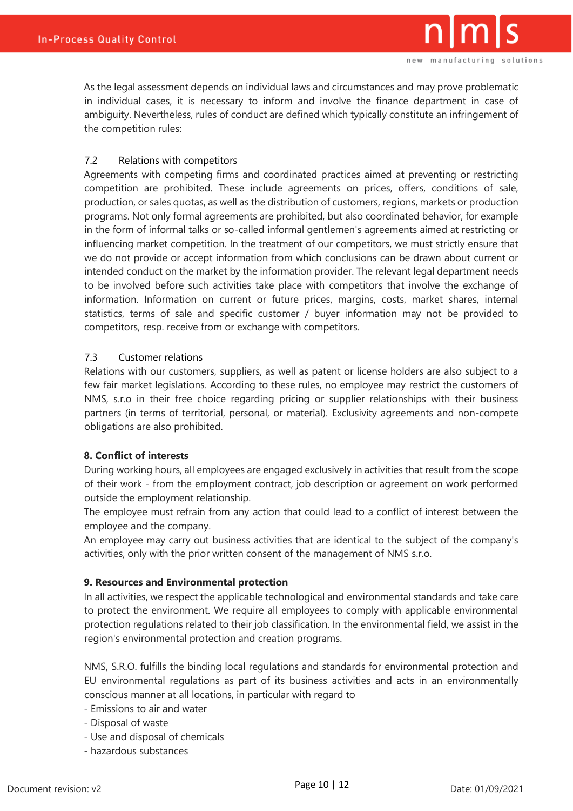

As the legal assessment depends on individual laws and circumstances and may prove problematic in individual cases, it is necessary to inform and involve the finance department in case of ambiguity. Nevertheless, rules of conduct are defined which typically constitute an infringement of the competition rules:

### <span id="page-9-0"></span>7.2 Relations with competitors

Agreements with competing firms and coordinated practices aimed at preventing or restricting competition are prohibited. These include agreements on prices, offers, conditions of sale, production, or sales quotas, as well as the distribution of customers, regions, markets or production programs. Not only formal agreements are prohibited, but also coordinated behavior, for example in the form of informal talks or so-called informal gentlemen's agreements aimed at restricting or influencing market competition. In the treatment of our competitors, we must strictly ensure that we do not provide or accept information from which conclusions can be drawn about current or intended conduct on the market by the information provider. The relevant legal department needs to be involved before such activities take place with competitors that involve the exchange of information. Information on current or future prices, margins, costs, market shares, internal statistics, terms of sale and specific customer / buyer information may not be provided to competitors, resp. receive from or exchange with competitors.

### <span id="page-9-1"></span>7.3 Customer relations

Relations with our customers, suppliers, as well as patent or license holders are also subject to a few fair market legislations. According to these rules, no employee may restrict the customers of NMS, s.r.o in their free choice regarding pricing or supplier relationships with their business partners (in terms of territorial, personal, or material). Exclusivity agreements and non-compete obligations are also prohibited.

# <span id="page-9-2"></span>**8. Conflict of interests**

During working hours, all employees are engaged exclusively in activities that result from the scope of their work - from the employment contract, job description or agreement on work performed outside the employment relationship.

The employee must refrain from any action that could lead to a conflict of interest between the employee and the company.

An employee may carry out business activities that are identical to the subject of the company's activities, only with the prior written consent of the management of NMS s.r.o.

#### <span id="page-9-3"></span>**9. Resources and Environmental protection**

In all activities, we respect the applicable technological and environmental standards and take care to protect the environment. We require all employees to comply with applicable environmental protection regulations related to their job classification. In the environmental field, we assist in the region's environmental protection and creation programs.

NMS, S.R.O. fulfills the binding local regulations and standards for environmental protection and EU environmental regulations as part of its business activities and acts in an environmentally conscious manner at all locations, in particular with regard to

- Emissions to air and water
- Disposal of waste
- Use and disposal of chemicals
- hazardous substances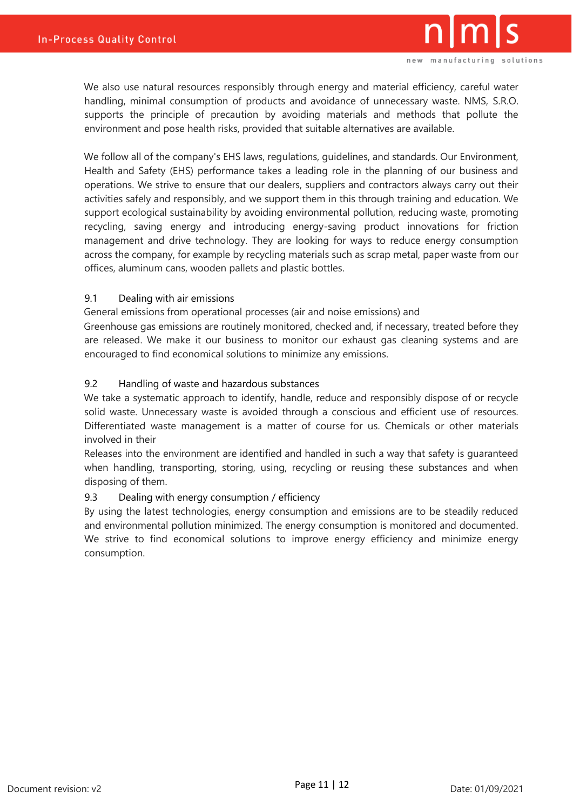

We also use natural resources responsibly through energy and material efficiency, careful water handling, minimal consumption of products and avoidance of unnecessary waste. NMS, S.R.O. supports the principle of precaution by avoiding materials and methods that pollute the environment and pose health risks, provided that suitable alternatives are available.

We follow all of the company's EHS laws, regulations, guidelines, and standards. Our Environment, Health and Safety (EHS) performance takes a leading role in the planning of our business and operations. We strive to ensure that our dealers, suppliers and contractors always carry out their activities safely and responsibly, and we support them in this through training and education. We support ecological sustainability by avoiding environmental pollution, reducing waste, promoting recycling, saving energy and introducing energy-saving product innovations for friction management and drive technology. They are looking for ways to reduce energy consumption across the company, for example by recycling materials such as scrap metal, paper waste from our offices, aluminum cans, wooden pallets and plastic bottles.

### <span id="page-10-0"></span>9.1 Dealing with air emissions

General emissions from operational processes (air and noise emissions) and

Greenhouse gas emissions are routinely monitored, checked and, if necessary, treated before they are released. We make it our business to monitor our exhaust gas cleaning systems and are encouraged to find economical solutions to minimize any emissions.

### <span id="page-10-1"></span>9.2 Handling of waste and hazardous substances

We take a systematic approach to identify, handle, reduce and responsibly dispose of or recycle solid waste. Unnecessary waste is avoided through a conscious and efficient use of resources. Differentiated waste management is a matter of course for us. Chemicals or other materials involved in their

Releases into the environment are identified and handled in such a way that safety is guaranteed when handling, transporting, storing, using, recycling or reusing these substances and when disposing of them.

#### <span id="page-10-2"></span>9.3 Dealing with energy consumption / efficiency

By using the latest technologies, energy consumption and emissions are to be steadily reduced and environmental pollution minimized. The energy consumption is monitored and documented. We strive to find economical solutions to improve energy efficiency and minimize energy consumption.